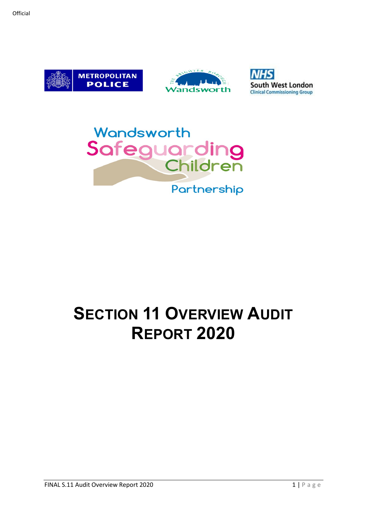







# **SECTION 11 OVERVIEW AUDIT REPORT 2020**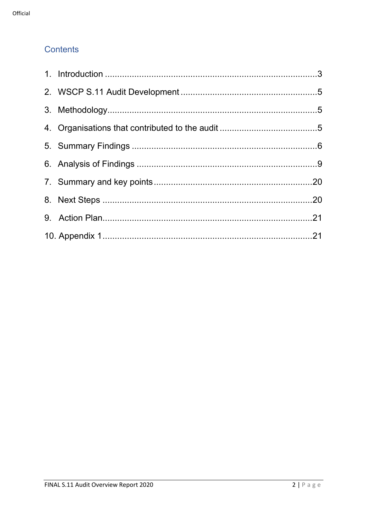# **Contents**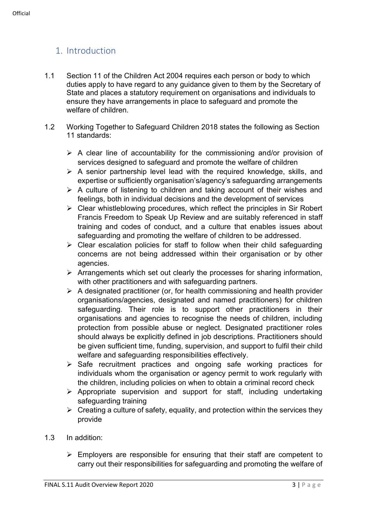# <span id="page-2-0"></span>1. Introduction

- 1.1 Section 11 of the Children Act 2004 requires each person or body to which duties apply to have regard to any guidance given to them by the Secretary of State and places a statutory requirement on organisations and individuals to ensure they have arrangements in place to safeguard and promote the welfare of children.
- 1.2 Working Together to Safeguard Children 2018 states the following as Section 11 standards:
	- $\triangleright$  A clear line of accountability for the commissioning and/or provision of services designed to safeguard and promote the welfare of children
	- $\triangleright$  A senior partnership level lead with the required knowledge, skills, and expertise or sufficiently organisation's/agency's safeguarding arrangements
	- $\triangleright$  A culture of listening to children and taking account of their wishes and feelings, both in individual decisions and the development of services
	- ➢ Clear whistleblowing procedures, which reflect the principles in Sir Robert Francis Freedom to Speak Up Review and are suitably referenced in staff training and codes of conduct, and a culture that enables issues about safeguarding and promoting the welfare of children to be addressed.
	- $\triangleright$  Clear escalation policies for staff to follow when their child safeguarding concerns are not being addressed within their organisation or by other agencies.
	- ➢ Arrangements which set out clearly the processes for sharing information, with other practitioners and with safeguarding partners.
	- ➢ A designated practitioner (or, for health commissioning and health provider organisations/agencies, designated and named practitioners) for children safeguarding. Their role is to support other practitioners in their organisations and agencies to recognise the needs of children, including protection from possible abuse or neglect. Designated practitioner roles should always be explicitly defined in job descriptions. Practitioners should be given sufficient time, funding, supervision, and support to fulfil their child welfare and safeguarding responsibilities effectively.
	- ➢ Safe recruitment practices and ongoing safe working practices for individuals whom the organisation or agency permit to work regularly with the children, including policies on when to obtain a criminal record check
	- ➢ Appropriate supervision and support for staff, including undertaking safeguarding training
	- $\triangleright$  Creating a culture of safety, equality, and protection within the services they provide
- 1.3 In addition:
	- $\triangleright$  Employers are responsible for ensuring that their staff are competent to carry out their responsibilities for safeguarding and promoting the welfare of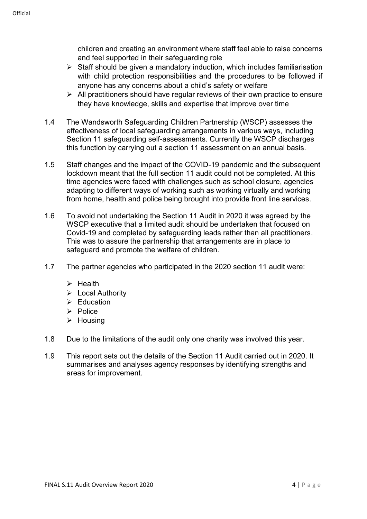children and creating an environment where staff feel able to raise concerns and feel supported in their safeguarding role

- $\triangleright$  Staff should be given a mandatory induction, which includes familiarisation with child protection responsibilities and the procedures to be followed if anyone has any concerns about a child's safety or welfare
- $\triangleright$  All practitioners should have regular reviews of their own practice to ensure they have knowledge, skills and expertise that improve over time
- 1.4 The Wandsworth Safeguarding Children Partnership (WSCP) assesses the effectiveness of local safeguarding arrangements in various ways, including Section 11 safeguarding self-assessments. Currently the WSCP discharges this function by carrying out a section 11 assessment on an annual basis.
- 1.5 Staff changes and the impact of the COVID-19 pandemic and the subsequent lockdown meant that the full section 11 audit could not be completed. At this time agencies were faced with challenges such as school closure, agencies adapting to different ways of working such as working virtually and working from home, health and police being brought into provide front line services.
- 1.6 To avoid not undertaking the Section 11 Audit in 2020 it was agreed by the WSCP executive that a limited audit should be undertaken that focused on Covid-19 and completed by safeguarding leads rather than all practitioners. This was to assure the partnership that arrangements are in place to safeguard and promote the welfare of children.
- 1.7 The partner agencies who participated in the 2020 section 11 audit were:
	- ➢ Health
	- ➢ Local Authority
	- ➢ Education
	- ➢ Police
	- ➢ Housing
- 1.8 Due to the limitations of the audit only one charity was involved this year.
- 1.9 This report sets out the details of the Section 11 Audit carried out in 2020. It summarises and analyses agency responses by identifying strengths and areas for improvement.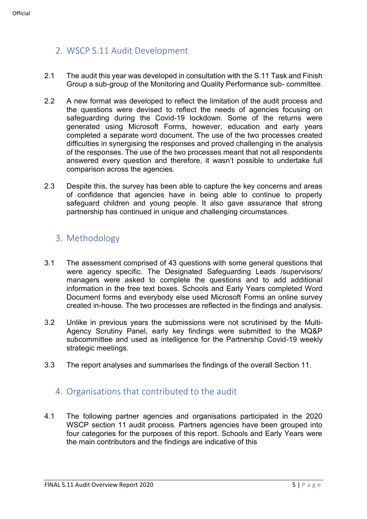# <span id="page-4-0"></span>2. WSCP S.11 Audit Development

- 2.1 The audit this year was developed in consultation with the S.11 Task and Finish Group a sub-group of the Monitoring and Quality Performance sub- committee.
- 2.2 A new format was developed to reflect the limitation of the audit process and the questions were devised to reflect the needs of agencies focusing on safeguarding during the Covid-19 lockdown. Some of the returns were generated using Microsoft Forms, however, education and early years completed a separate word document. The use of the two processes created difficulties in synergising the responses and proved challenging in the analysis of the responses. The use of the two processes meant that not all respondents answered every question and therefore, it wasn't possible to undertake full comparison across the agencies.
- 2.3 Despite this, the survey has been able to capture the key concerns and areas of confidence that agencies have in being able to continue to properly safeguard children and young people. It also gave assurance that strong partnership has continued in unique and challenging circumstances.

# <span id="page-4-1"></span>3. Methodology

- 3.1 The assessment comprised of 43 questions with some general questions that were agency specific. The Designated Safeguarding Leads /supervisors/ managers were asked to complete the questions and to add additional information in the free text boxes. Schools and Early Years completed Word Document forms and everybody else used Microsoft Forms an online survey created in-house. The two processes are reflected in the findings and analysis.
- 3.2 Unlike in previous years the submissions were not scrutinised by the Multi-Agency Scrutiny Panel, early key findings were submitted to the MQ&P subcommittee and used as intelligence for the Partnership Covid-19 weekly strategic meetings.
- 3.3 The report analyses and summarises the findings of the overall Section 11.

## <span id="page-4-2"></span>4. Organisations that contributed to the audit

4.1 The following partner agencies and organisations participated in the 2020 WSCP section 11 audit process. Partners agencies have been grouped into four categories for the purposes of this report. Schools and Early Years were the main contributors and the findings are indicative of this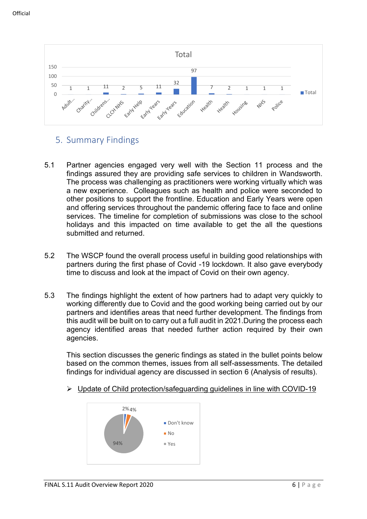

# <span id="page-5-0"></span>5. Summary Findings

- 5.1 Partner agencies engaged very well with the Section 11 process and the findings assured they are providing safe services to children in Wandsworth. The process was challenging as practitioners were working virtually which was a new experience. Colleagues such as health and police were seconded to other positions to support the frontline. Education and Early Years were open and offering services throughout the pandemic offering face to face and online services. The timeline for completion of submissions was close to the school holidays and this impacted on time available to get the all the questions submitted and returned.
- 5.2 The WSCP found the overall process useful in building good relationships with partners during the first phase of Covid -19 lockdown. It also gave everybody time to discuss and look at the impact of Covid on their own agency.
- 5.3 The findings highlight the extent of how partners had to adapt very quickly to working differently due to Covid and the good working being carried out by our partners and identifies areas that need further development. The findings from this audit will be built on to carry out a full audit in 2021.During the process each agency identified areas that needed further action required by their own agencies.

This section discusses the generic findings as stated in the bullet points below based on the common themes, issues from all self-assessments. The detailed findings for individual agency are discussed in section 6 (Analysis of results).



➢ Update of Child protection/safeguarding guidelines in line with COVID-19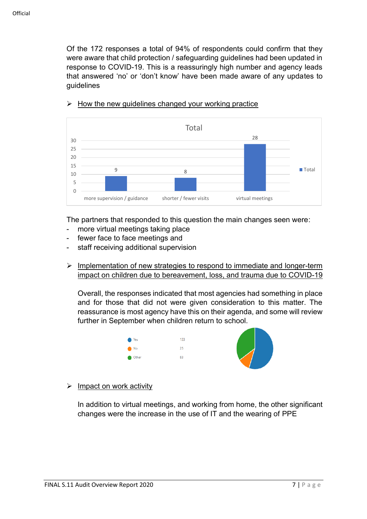Of the 172 responses a total of 94% of respondents could confirm that they were aware that child protection / safeguarding guidelines had been updated in response to COVID-19. This is a reassuringly high number and agency leads that answered 'no' or 'don't know' have been made aware of any updates to guidelines



#### $\triangleright$  How the new guidelines changed your working practice

The partners that responded to this question the main changes seen were:

- more virtual meetings taking place
- fewer face to face meetings and
- staff receiving additional supervision
- ➢ Implementation of new strategies to respond to immediate and longer-term impact on children due to bereavement, loss, and trauma due to COVID-19

Overall, the responses indicated that most agencies had something in place and for those that did not were given consideration to this matter. The reassurance is most agency have this on their agenda, and some will review further in September when children return to school.



 $\triangleright$  Impact on work activity

In addition to virtual meetings, and working from home, the other significant changes were the increase in the use of IT and the wearing of PPE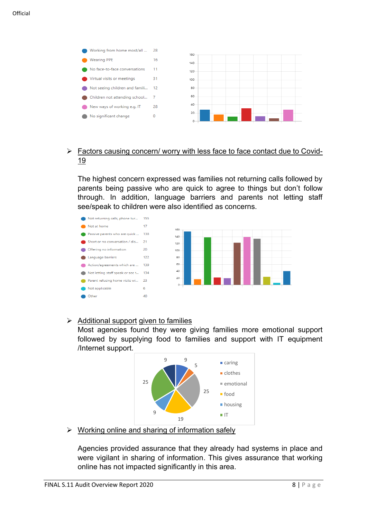

#### ➢ Factors causing concern/ worry with less face to face contact due to Covid-19

The highest concern expressed was families not returning calls followed by parents being passive who are quick to agree to things but don't follow through. In addition, language barriers and parents not letting staff see/speak to children were also identified as concerns.



#### $\triangleright$  Additional support given to families

Most agencies found they were giving families more emotional support followed by supplying food to families and support with IT equipment /Internet support.



➢ Working online and sharing of information safely

Agencies provided assurance that they already had systems in place and were vigilant in sharing of information. This gives assurance that working online has not impacted significantly in this area.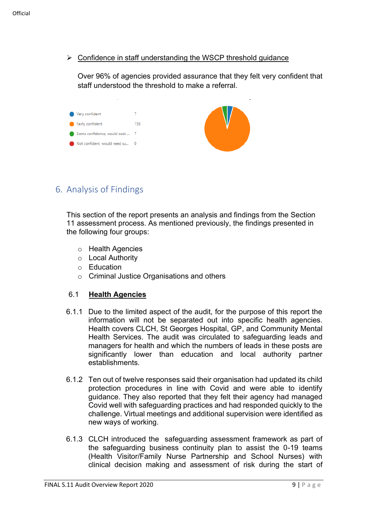#### ➢ Confidence in staff understanding the WSCP threshold guidance

Over 96% of agencies provided assurance that they felt very confident that staff understood the threshold to make a referral.

| Very confident<br>Fairly confident | 158 |  |
|------------------------------------|-----|--|
| Some confidence, would seek  7     |     |  |
| Not confident, would need su 0     |     |  |

# <span id="page-8-0"></span>6. Analysis of Findings

This section of the report presents an analysis and findings from the Section 11 assessment process. As mentioned previously, the findings presented in the following four groups:

- o Health Agencies
- o Local Authority
- o Education
- o Criminal Justice Organisations and others

#### 6.1 **Health Agencies**

- 6.1.1 Due to the limited aspect of the audit, for the purpose of this report the information will not be separated out into specific health agencies. Health covers CLCH, St Georges Hospital, GP, and Community Mental Health Services. The audit was circulated to safeguarding leads and managers for health and which the numbers of leads in these posts are significantly lower than education and local authority partner establishments.
- 6.1.2 Ten out of twelve responses said their organisation had updated its child protection procedures in line with Covid and were able to identify guidance. They also reported that they felt their agency had managed Covid well with safeguarding practices and had responded quickly to the challenge. Virtual meetings and additional supervision were identified as new ways of working.
- 6.1.3 CLCH introduced the safeguarding assessment framework as part of the safeguarding business continuity plan to assist the 0-19 teams (Health Visitor/Family Nurse Partnership and School Nurses) with clinical decision making and assessment of risk during the start of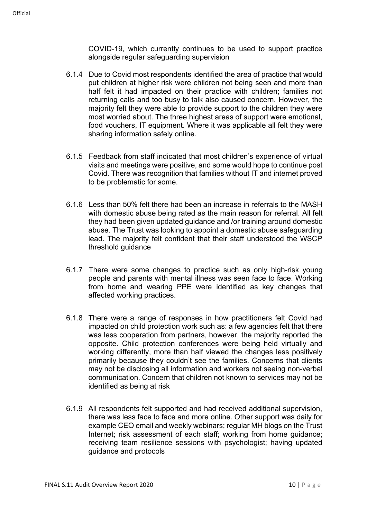COVID-19, which currently continues to be used to support practice alongside regular safeguarding supervision

- 6.1.4 Due to Covid most respondents identified the area of practice that would put children at higher risk were children not being seen and more than half felt it had impacted on their practice with children; families not returning calls and too busy to talk also caused concern. However, the majority felt they were able to provide support to the children they were most worried about. The three highest areas of support were emotional, food vouchers, IT equipment. Where it was applicable all felt they were sharing information safely online.
- 6.1.5 Feedback from staff indicated that most children's experience of virtual visits and meetings were positive, and some would hope to continue post Covid. There was recognition that families without IT and internet proved to be problematic for some.
- 6.1.6 Less than 50% felt there had been an increase in referrals to the MASH with domestic abuse being rated as the main reason for referral. All felt they had been given updated guidance and /or training around domestic abuse. The Trust was looking to appoint a domestic abuse safeguarding lead. The majority felt confident that their staff understood the WSCP threshold guidance
- 6.1.7 There were some changes to practice such as only high-risk young people and parents with mental illness was seen face to face. Working from home and wearing PPE were identified as key changes that affected working practices.
- 6.1.8 There were a range of responses in how practitioners felt Covid had impacted on child protection work such as: a few agencies felt that there was less cooperation from partners, however, the majority reported the opposite. Child protection conferences were being held virtually and working differently, more than half viewed the changes less positively primarily because they couldn't see the families. Concerns that clients may not be disclosing all information and workers not seeing non-verbal communication. Concern that children not known to services may not be identified as being at risk
- 6.1.9 All respondents felt supported and had received additional supervision, there was less face to face and more online. Other support was daily for example CEO email and weekly webinars; regular MH blogs on the Trust Internet; risk assessment of each staff; working from home guidance; receiving team resilience sessions with psychologist; having updated guidance and protocols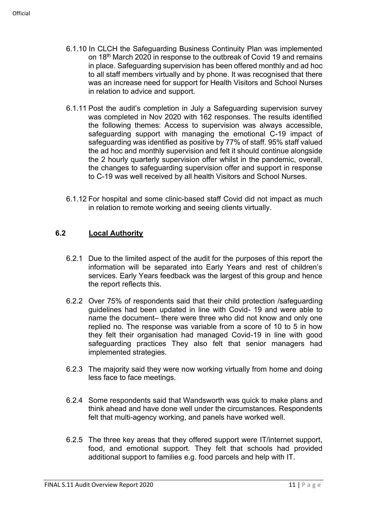- 6.1.10 In CLCH the Safeguarding Business Continuity Plan was implemented on 18<sup>th</sup> March 2020 in response to the outbreak of Covid 19 and remains in place. Safeguarding supervision has been offered monthly and ad hoc to all staff members virtually and by phone. It was recognised that there was an increase need for support for Health Visitors and School Nurses in relation to advice and support.
- 6.1.11 Post the audit's completion in July a Safeguarding supervision survey was completed in Nov 2020 with 162 responses. The results identified the following themes: Access to supervision was always accessible, safeguarding support with managing the emotional C-19 impact of safeguarding was identified as positive by 77% of staff. 95% staff valued the ad hoc and monthly supervision and felt it should continue alongside the 2 hourly quarterly supervision offer whilst in the pandemic, overall, the changes to safeguarding supervision offer and support in response to C-19 was well received by all health Visitors and School Nurses.
- 6.1.12 For hospital and some clinic-based staff Covid did not impact as much in relation to remote working and seeing clients virtually.

#### **6.2 Local Authority**

- 6.2.1 Due to the limited aspect of the audit for the purposes of this report the information will be separated into Early Years and rest of children's services. Early Years feedback was the largest of this group and hence the report reflects this.
- 6.2.2 Over 75% of respondents said that their child protection /safeguarding guidelines had been updated in line with Covid- 19 and were able to name the document– there were three who did not know and only one replied no. The response was variable from a score of 10 to 5 in how they felt their organisation had managed Covid-19 in line with good safeguarding practices They also felt that senior managers had implemented strategies.
- 6.2.3 The majority said they were now working virtually from home and doing less face to face meetings.
- 6.2.4 Some respondents said that Wandsworth was quick to make plans and think ahead and have done well under the circumstances. Respondents felt that multi-agency working, and panels have worked well.
- 6.2.5 The three key areas that they offered support were IT/internet support, food, and emotional support. They felt that schools had provided additional support to families e.g. food parcels and help with IT.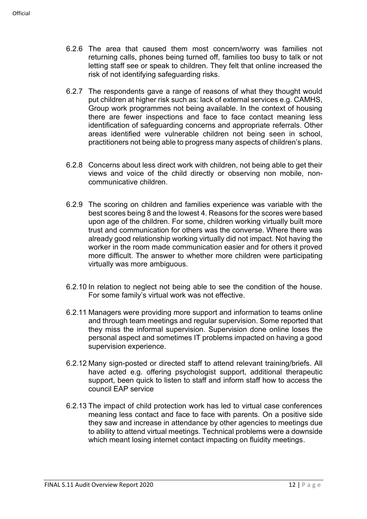- 6.2.6 The area that caused them most concern/worry was families not returning calls, phones being turned off, families too busy to talk or not letting staff see or speak to children. They felt that online increased the risk of not identifying safeguarding risks.
- 6.2.7 The respondents gave a range of reasons of what they thought would put children at higher risk such as: lack of external services e.g. CAMHS, Group work programmes not being available. In the context of housing there are fewer inspections and face to face contact meaning less identification of safeguarding concerns and appropriate referrals. Other areas identified were vulnerable children not being seen in school, practitioners not being able to progress many aspects of children's plans.
- 6.2.8 Concerns about less direct work with children, not being able to get their views and voice of the child directly or observing non mobile, noncommunicative children.
- 6.2.9 The scoring on children and families experience was variable with the best scores being 8 and the lowest 4. Reasons for the scores were based upon age of the children. For some, children working virtually built more trust and communication for others was the converse. Where there was already good relationship working virtually did not impact. Not having the worker in the room made communication easier and for others it proved more difficult. The answer to whether more children were participating virtually was more ambiguous.
- 6.2.10 In relation to neglect not being able to see the condition of the house. For some family's virtual work was not effective.
- 6.2.11 Managers were providing more support and information to teams online and through team meetings and regular supervision. Some reported that they miss the informal supervision. Supervision done online loses the personal aspect and sometimes IT problems impacted on having a good supervision experience.
- 6.2.12 Many sign-posted or directed staff to attend relevant training/briefs. All have acted e.g. offering psychologist support, additional therapeutic support, been quick to listen to staff and inform staff how to access the council EAP service
- 6.2.13 The impact of child protection work has led to virtual case conferences meaning less contact and face to face with parents. On a positive side they saw and increase in attendance by other agencies to meetings due to ability to attend virtual meetings. Technical problems were a downside which meant losing internet contact impacting on fluidity meetings.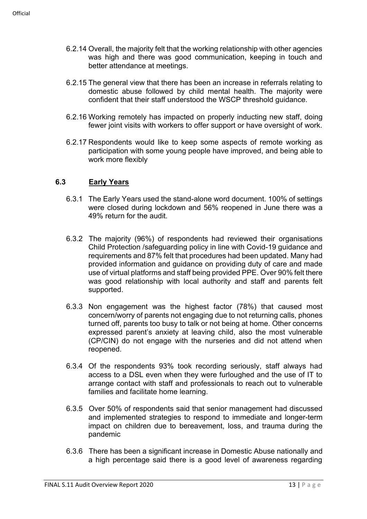- 6.2.14 Overall, the majority felt that the working relationship with other agencies was high and there was good communication, keeping in touch and better attendance at meetings.
- 6.2.15 The general view that there has been an increase in referrals relating to domestic abuse followed by child mental health. The majority were confident that their staff understood the WSCP threshold guidance.
- 6.2.16 Working remotely has impacted on properly inducting new staff, doing fewer joint visits with workers to offer support or have oversight of work.
- 6.2.17 Respondents would like to keep some aspects of remote working as participation with some young people have improved, and being able to work more flexibly

#### **6.3 Early Years**

- 6.3.1 The Early Years used the stand-alone word document. 100% of settings were closed during lockdown and 56% reopened in June there was a 49% return for the audit.
- 6.3.2 The majority (96%) of respondents had reviewed their organisations Child Protection /safeguarding policy in line with Covid-19 guidance and requirements and 87% felt that procedures had been updated. Many had provided information and guidance on providing duty of care and made use of virtual platforms and staff being provided PPE. Over 90% felt there was good relationship with local authority and staff and parents felt supported.
- 6.3.3 Non engagement was the highest factor (78%) that caused most concern/worry of parents not engaging due to not returning calls, phones turned off, parents too busy to talk or not being at home. Other concerns expressed parent's anxiety at leaving child, also the most vulnerable (CP/CIN) do not engage with the nurseries and did not attend when reopened.
- 6.3.4 Of the respondents 93% took recording seriously, staff always had access to a DSL even when they were furloughed and the use of IT to arrange contact with staff and professionals to reach out to vulnerable families and facilitate home learning.
- 6.3.5 Over 50% of respondents said that senior management had discussed and implemented strategies to respond to immediate and longer-term impact on children due to bereavement, loss, and trauma during the pandemic
- 6.3.6 There has been a significant increase in Domestic Abuse nationally and a high percentage said there is a good level of awareness regarding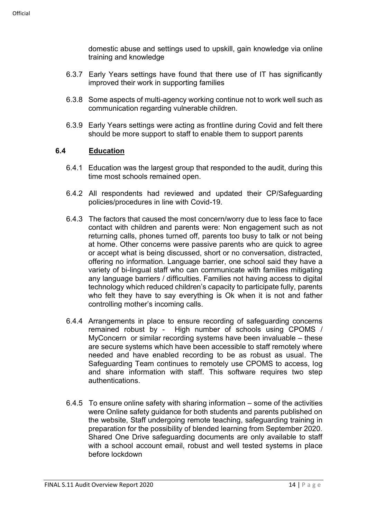domestic abuse and settings used to upskill, gain knowledge via online training and knowledge

- 6.3.7 Early Years settings have found that there use of IT has significantly improved their work in supporting families
- 6.3.8 Some aspects of multi-agency working continue not to work well such as communication regarding vulnerable children.
- 6.3.9 Early Years settings were acting as frontline during Covid and felt there should be more support to staff to enable them to support parents

#### **6.4 Education**

- 6.4.1 Education was the largest group that responded to the audit, during this time most schools remained open.
- 6.4.2 All respondents had reviewed and updated their CP/Safeguarding policies/procedures in line with Covid-19.
- 6.4.3 The factors that caused the most concern/worry due to less face to face contact with children and parents were: Non engagement such as not returning calls, phones turned off, parents too busy to talk or not being at home. Other concerns were passive parents who are quick to agree or accept what is being discussed, short or no conversation, distracted, offering no information. Language barrier, one school said they have a variety of bi-lingual staff who can communicate with families mitigating any language barriers / difficulties. Families not having access to digital technology which reduced children's capacity to participate fully, parents who felt they have to say everything is Ok when it is not and father controlling mother's incoming calls.
- 6.4.4 Arrangements in place to ensure recording of safeguarding concerns remained robust by - High number of schools using CPOMS / MyConcern or similar recording systems have been invaluable – these are secure systems which have been accessible to staff remotely where needed and have enabled recording to be as robust as usual. The Safeguarding Team continues to remotely use CPOMS to access, log and share information with staff. This software requires two step authentications.
- 6.4.5 To ensure online safety with sharing information some of the activities were Online safety guidance for both students and parents published on the website, Staff undergoing remote teaching, safeguarding training in preparation for the possibility of blended learning from September 2020. Shared One Drive safeguarding documents are only available to staff with a school account email, robust and well tested systems in place before lockdown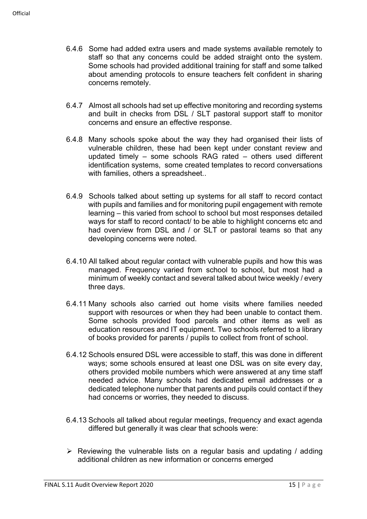- 6.4.6 Some had added extra users and made systems available remotely to staff so that any concerns could be added straight onto the system. Some schools had provided additional training for staff and some talked about amending protocols to ensure teachers felt confident in sharing concerns remotely.
- 6.4.7 Almost all schools had set up effective monitoring and recording systems and built in checks from DSL / SLT pastoral support staff to monitor concerns and ensure an effective response.
- 6.4.8 Many schools spoke about the way they had organised their lists of vulnerable children, these had been kept under constant review and updated timely – some schools RAG rated – others used different identification systems, some created templates to record conversations with families, others a spreadsheet..
- 6.4.9 Schools talked about setting up systems for all staff to record contact with pupils and families and for monitoring pupil engagement with remote learning – this varied from school to school but most responses detailed ways for staff to record contact/ to be able to highlight concerns etc and had overview from DSL and / or SLT or pastoral teams so that any developing concerns were noted.
- 6.4.10 All talked about regular contact with vulnerable pupils and how this was managed. Frequency varied from school to school, but most had a minimum of weekly contact and several talked about twice weekly / every three days.
- 6.4.11 Many schools also carried out home visits where families needed support with resources or when they had been unable to contact them. Some schools provided food parcels and other items as well as education resources and IT equipment. Two schools referred to a library of books provided for parents / pupils to collect from front of school.
- 6.4.12 Schools ensured DSL were accessible to staff, this was done in different ways; some schools ensured at least one DSL was on site every day, others provided mobile numbers which were answered at any time staff needed advice. Many schools had dedicated email addresses or a dedicated telephone number that parents and pupils could contact if they had concerns or worries, they needed to discuss.
- 6.4.13 Schools all talked about regular meetings, frequency and exact agenda differed but generally it was clear that schools were:
- $\triangleright$  Reviewing the vulnerable lists on a regular basis and updating / adding additional children as new information or concerns emerged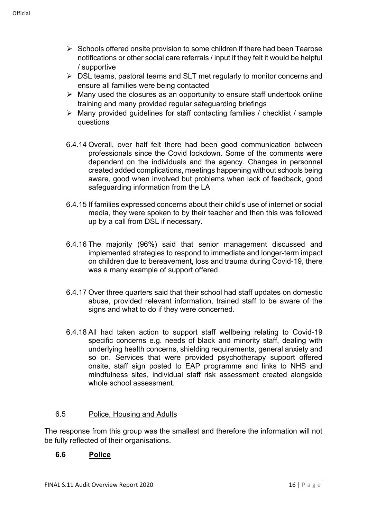- $\triangleright$  Schools offered onsite provision to some children if there had been Tearose notifications or other social care referrals / input if they felt it would be helpful / supportive
- ➢ DSL teams, pastoral teams and SLT met regularly to monitor concerns and ensure all families were being contacted
- ➢ Many used the closures as an opportunity to ensure staff undertook online training and many provided regular safeguarding briefings
- ➢ Many provided guidelines for staff contacting families / checklist / sample questions
- 6.4.14 Overall, over half felt there had been good communication between professionals since the Covid lockdown. Some of the comments were dependent on the individuals and the agency. Changes in personnel created added complications, meetings happening without schools being aware, good when involved but problems when lack of feedback, good safeguarding information from the LA
- 6.4.15 If families expressed concerns about their child's use of internet or social media, they were spoken to by their teacher and then this was followed up by a call from DSL if necessary.
- 6.4.16 The majority (96%) said that senior management discussed and implemented strategies to respond to immediate and longer-term impact on children due to bereavement, loss and trauma during Covid-19, there was a many example of support offered.
- 6.4.17 Over three quarters said that their school had staff updates on domestic abuse, provided relevant information, trained staff to be aware of the signs and what to do if they were concerned.
- 6.4.18 All had taken action to support staff wellbeing relating to Covid-19 specific concerns e.g. needs of black and minority staff, dealing with underlying health concerns, shielding requirements, general anxiety and so on. Services that were provided psychotherapy support offered onsite, staff sign posted to EAP programme and links to NHS and mindfulness sites, individual staff risk assessment created alongside whole school assessment.

#### 6.5 Police, Housing and Adults

The response from this group was the smallest and therefore the information will not be fully reflected of their organisations.

#### **6.6 Police**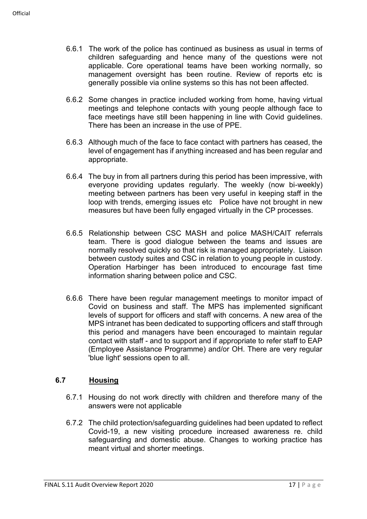- 6.6.1 The work of the police has continued as business as usual in terms of children safeguarding and hence many of the questions were not applicable. Core operational teams have been working normally, so management oversight has been routine. Review of reports etc is generally possible via online systems so this has not been affected.
- 6.6.2 Some changes in practice included working from home, having virtual meetings and telephone contacts with young people although face to face meetings have still been happening in line with Covid guidelines. There has been an increase in the use of PPE.
- 6.6.3 Although much of the face to face contact with partners has ceased, the level of engagement has if anything increased and has been regular and appropriate.
- 6.6.4 The buy in from all partners during this period has been impressive, with everyone providing updates regularly. The weekly (now bi-weekly) meeting between partners has been very useful in keeping staff in the loop with trends, emerging issues etc Police have not brought in new measures but have been fully engaged virtually in the CP processes.
- 6.6.5 Relationship between CSC MASH and police MASH/CAIT referrals team. There is good dialogue between the teams and issues are normally resolved quickly so that risk is managed appropriately. Liaison between custody suites and CSC in relation to young people in custody. Operation Harbinger has been introduced to encourage fast time information sharing between police and CSC.
- 6.6.6 There have been regular management meetings to monitor impact of Covid on business and staff. The MPS has implemented significant levels of support for officers and staff with concerns. A new area of the MPS intranet has been dedicated to supporting officers and staff through this period and managers have been encouraged to maintain regular contact with staff - and to support and if appropriate to refer staff to EAP (Employee Assistance Programme) and/or OH. There are very regular 'blue light' sessions open to all.

#### **6.7 Housing**

- 6.7.1 Housing do not work directly with children and therefore many of the answers were not applicable
- 6.7.2 The child protection/safeguarding guidelines had been updated to reflect Covid-19, a new visiting procedure increased awareness re. child safeguarding and domestic abuse. Changes to working practice has meant virtual and shorter meetings.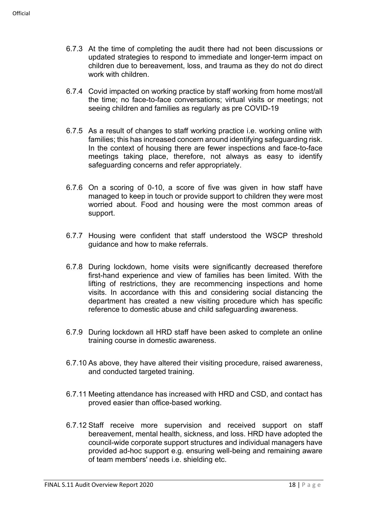- 6.7.3 At the time of completing the audit there had not been discussions or updated strategies to respond to immediate and longer-term impact on children due to bereavement, loss, and trauma as they do not do direct work with children.
- 6.7.4 Covid impacted on working practice by staff working from home most/all the time; no face-to-face conversations; virtual visits or meetings; not seeing children and families as regularly as pre COVID-19
- 6.7.5 As a result of changes to staff working practice i.e. working online with families; this has increased concern around identifying safeguarding risk. In the context of housing there are fewer inspections and face-to-face meetings taking place, therefore, not always as easy to identify safeguarding concerns and refer appropriately.
- 6.7.6 On a scoring of 0-10, a score of five was given in how staff have managed to keep in touch or provide support to children they were most worried about. Food and housing were the most common areas of support.
- 6.7.7 Housing were confident that staff understood the WSCP threshold guidance and how to make referrals.
- 6.7.8 During lockdown, home visits were significantly decreased therefore first-hand experience and view of families has been limited. With the lifting of restrictions, they are recommencing inspections and home visits. In accordance with this and considering social distancing the department has created a new visiting procedure which has specific reference to domestic abuse and child safeguarding awareness.
- 6.7.9 During lockdown all HRD staff have been asked to complete an online training course in domestic awareness.
- 6.7.10 As above, they have altered their visiting procedure, raised awareness, and conducted targeted training.
- 6.7.11 Meeting attendance has increased with HRD and CSD, and contact has proved easier than office-based working.
- 6.7.12 Staff receive more supervision and received support on staff bereavement, mental health, sickness, and loss. HRD have adopted the council-wide corporate support structures and individual managers have provided ad-hoc support e.g. ensuring well-being and remaining aware of team members' needs i.e. shielding etc.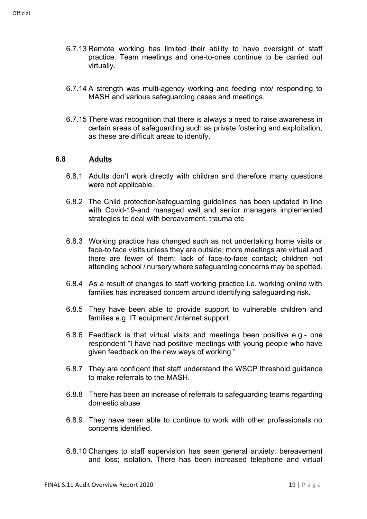- 6.7.13 Remote working has limited their ability to have oversight of staff practice. Team meetings and one-to-ones continue to be carried out virtually.
- 6.7.14 A strength was multi-agency working and feeding into/ responding to MASH and various safeguarding cases and meetings.
- 6.7.15 There was recognition that there is always a need to raise awareness in certain areas of safeguarding such as private fostering and exploitation, as these are difficult areas to identify.

#### **6.8 Adults**

- 6.8.1 Adults don't work directly with children and therefore many questions were not applicable.
- 6.8.2 The Child protection/safeguarding guidelines has been updated in line with Covid-19-and managed well and senior managers implemented strategies to deal with bereavement, trauma etc
- 6.8.3 Working practice has changed such as not undertaking home visits or face-to face visits unless they are outside; more meetings are virtual and there are fewer of them; lack of face-to-face contact; children not attending school / nursery where safeguarding concerns may be spotted.
- 6.8.4 As a result of changes to staff working practice i.e. working online with families has increased concern around identifying safeguarding risk.
- 6.8.5 They have been able to provide support to vulnerable children and families e.g. IT equipment /internet support.
- 6.8.6 Feedback is that virtual visits and meetings been positive e.g.- one respondent "I have had positive meetings with young people who have given feedback on the new ways of working."
- 6.8.7 They are confident that staff understand the WSCP threshold guidance to make referrals to the MASH.
- 6.8.8 There has been an increase of referrals to safeguarding teams regarding domestic abuse
- 6.8.9 They have been able to continue to work with other professionals no concerns identified.
- 6.8.10 Changes to staff supervision has seen general anxiety; bereavement and loss; isolation. There has been increased telephone and virtual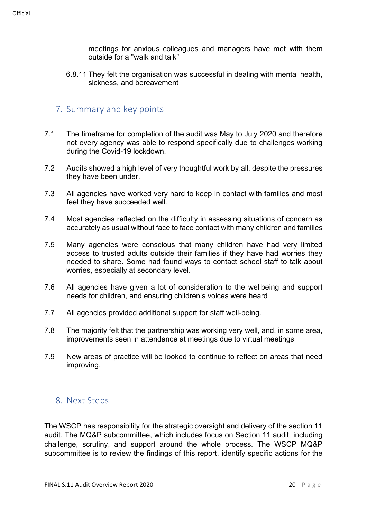meetings for anxious colleagues and managers have met with them outside for a "walk and talk"

6.8.11 They felt the organisation was successful in dealing with mental health, sickness, and bereavement

## <span id="page-19-0"></span>7. Summary and key points

- 7.1 The timeframe for completion of the audit was May to July 2020 and therefore not every agency was able to respond specifically due to challenges working during the Covid-19 lockdown.
- 7.2 Audits showed a high level of very thoughtful work by all, despite the pressures they have been under.
- 7.3 All agencies have worked very hard to keep in contact with families and most feel they have succeeded well.
- 7.4 Most agencies reflected on the difficulty in assessing situations of concern as accurately as usual without face to face contact with many children and families
- 7.5 Many agencies were conscious that many children have had very limited access to trusted adults outside their families if they have had worries they needed to share. Some had found ways to contact school staff to talk about worries, especially at secondary level.
- 7.6 All agencies have given a lot of consideration to the wellbeing and support needs for children, and ensuring children's voices were heard
- 7.7 All agencies provided additional support for staff well-being.
- 7.8 The majority felt that the partnership was working very well, and, in some area, improvements seen in attendance at meetings due to virtual meetings
- 7.9 New areas of practice will be looked to continue to reflect on areas that need improving.

## <span id="page-19-1"></span>8. Next Steps

The WSCP has responsibility for the strategic oversight and delivery of the section 11 audit. The MQ&P subcommittee, which includes focus on Section 11 audit, including challenge, scrutiny, and support around the whole process. The WSCP MQ&P subcommittee is to review the findings of this report, identify specific actions for the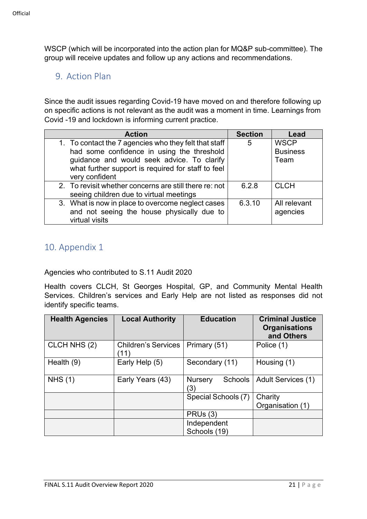WSCP (which will be incorporated into the action plan for MQ&P sub-committee). The group will receive updates and follow up any actions and recommendations.

## <span id="page-20-0"></span>9. Action Plan

Since the audit issues regarding Covid-19 have moved on and therefore following up on specific actions is not relevant as the audit was a moment in time. Learnings from Covid -19 and lockdown is informing current practice.

| <b>Action</b>                                                                                                                                     | <b>Section</b> | Lead                                   |
|---------------------------------------------------------------------------------------------------------------------------------------------------|----------------|----------------------------------------|
| 1. To contact the 7 agencies who they felt that staff<br>had some confidence in using the threshold<br>guidance and would seek advice. To clarify | 5              | <b>WSCP</b><br><b>Business</b><br>Team |
| what further support is required for staff to feel<br>very confident                                                                              |                |                                        |
| 2. To revisit whether concerns are still there re: not<br>seeing children due to virtual meetings                                                 | 6.2.8          | <b>CLCH</b>                            |
| 3. What is now in place to overcome neglect cases<br>and not seeing the house physically due to<br>virtual visits                                 | 6.3.10         | All relevant<br>agencies               |

## <span id="page-20-1"></span>10. Appendix 1

Agencies who contributed to S.11 Audit 2020

Health covers CLCH, St Georges Hospital, GP, and Community Mental Health Services. Children's services and Early Help are not listed as responses did not identify specific teams.

| <b>Health Agencies</b> | <b>Local Authority</b>             | <b>Education</b>                       | <b>Criminal Justice</b><br><b>Organisations</b><br>and Others |
|------------------------|------------------------------------|----------------------------------------|---------------------------------------------------------------|
| CLCH NHS (2)           | <b>Children's Services</b><br>(11) | Primary (51)                           | Police (1)                                                    |
| Health $(9)$           | Early Help (5)                     | Secondary (11)                         | Housing (1)                                                   |
| NHS(1)                 | Early Years (43)                   | <b>Schools</b><br><b>Nursery</b><br>3) | Adult Services (1)                                            |
|                        |                                    | Special Schools (7)                    | Charity                                                       |
|                        |                                    |                                        | Organisation (1)                                              |
|                        |                                    | PRUs (3)                               |                                                               |
|                        |                                    | Independent                            |                                                               |
|                        |                                    | Schools (19)                           |                                                               |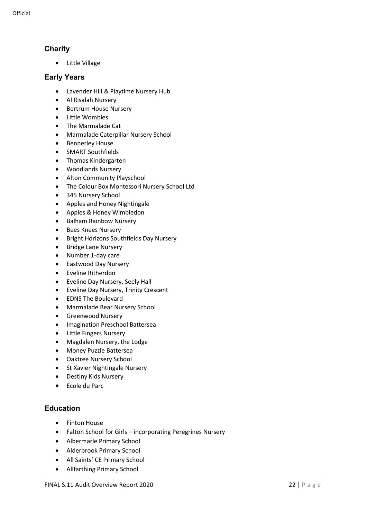#### **Charity**

• Little Village

#### **Early Years**

- Lavender Hill & Playtime Nursery Hub
- Al Risalah Nursery
- Bertrum House Nursery
- Little Wombles
- The Marmalade Cat
- Marmalade Caterpillar Nursery School
- Bennerley House
- SMART Southfields
- Thomas Kindergarten
- Woodlands Nursery
- Alton Community Playschool
- The Colour Box Montessori Nursery School Ltd
- 345 Nursery School
- Apples and Honey Nightingale
- Apples & Honey Wimbledon
- Balham Rainbow Nursery
- Bees Knees Nursery
- Bright Horizons Southfields Day Nursery
- Bridge Lane Nursery
- Number 1-day care
- Eastwood Day Nursery
- Eveline Ritherdon
- Eveline Day Nursery, Seely Hall
- Eveline Day Nursery, Trinity Crescent
- EDNS The Boulevard
- Marmalade Bear Nursery School
- Greenwood Nursery
- Imagination Preschool Battersea
- Little Fingers Nursery
- Magdalen Nursery, the Lodge
- Money Puzzle Battersea
- Oaktree Nursery School
- St Xavier Nightingale Nursery
- Destiny Kids Nursery
- Ecole du Parc

#### **Education**

- Finton House
- Falton School for Girls incorporating Peregrines Nursery
- Albermarle Primary School
- Alderbrook Primary School
- All Saints' CE Primary School
- Allfarthing Primary School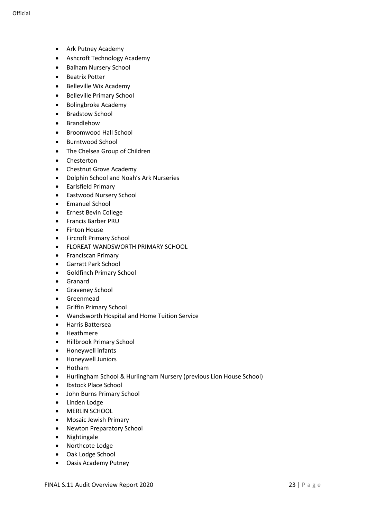- Ark Putney Academy
- Ashcroft Technology Academy
- Balham Nursery School
- Beatrix Potter
- Belleville Wix Academy
- Belleville Primary School
- Bolingbroke Academy
- Bradstow School
- Brandlehow
- Broomwood Hall School
- Burntwood School
- The Chelsea Group of Children
- Chesterton
- Chestnut Grove Academy
- Dolphin School and Noah's Ark Nurseries
- Earlsfield Primary
- Eastwood Nursery School
- Emanuel School
- Ernest Bevin College
- Francis Barber PRU
- Finton House
- Fircroft Primary School
- FLOREAT WANDSWORTH PRIMARY SCHOOL
- Franciscan Primary
- Garratt Park School
- Goldfinch Primary School
- Granard
- Graveney School
- Greenmead
- Griffin Primary School
- Wandsworth Hospital and Home Tuition Service
- Harris Battersea
- Heathmere
- Hillbrook Primary School
- Honeywell infants
- Honeywell Juniors
- Hotham
- Hurlingham School & Hurlingham Nursery (previous Lion House School)
- Ibstock Place School
- John Burns Primary School
- Linden Lodge
- MERLIN SCHOOL
- Mosaic Jewish Primary
- Newton Preparatory School
- Nightingale
- Northcote Lodge
- Oak Lodge School
- Oasis Academy Putney